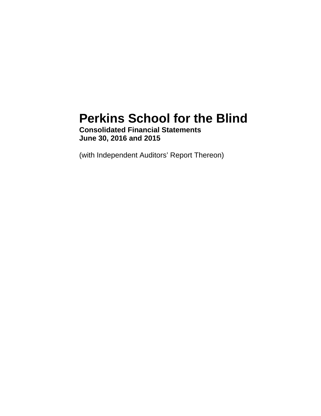# **Perkins School for the Blind**

**Consolidated Financial Statements June 30, 2016 and 2015** 

(with Independent Auditors' Report Thereon)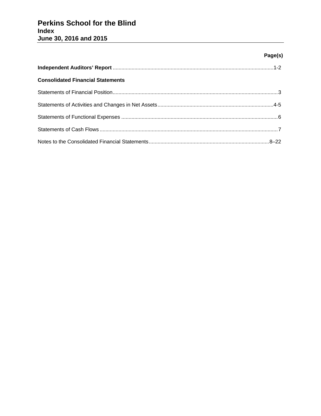### **Page(s)**

| <b>Consolidated Financial Statements</b> |  |
|------------------------------------------|--|
|                                          |  |
|                                          |  |
|                                          |  |
|                                          |  |
|                                          |  |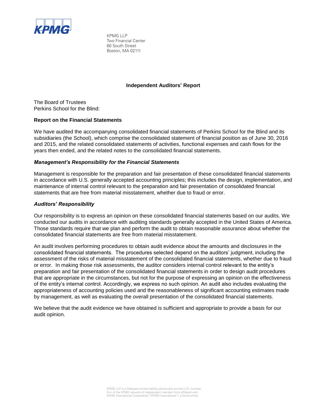

KPMG LLP Two Financial Center 60 South Street Boston, MA 02111

#### **Independent Auditors' Report**

The Board of Trustees Perkins School for the Blind:

#### **Report on the Financial Statements**

We have audited the accompanying consolidated financial statements of Perkins School for the Blind and its subsidiaries (the School), which comprise the consolidated statement of financial position as of June 30, 2016 and 2015, and the related consolidated statements of activities, functional expenses and cash flows for the years then ended, and the related notes to the consolidated financial statements.

#### *Management's Responsibility for the Financial Statements*

Management is responsible for the preparation and fair presentation of these consolidated financial statements in accordance with U.S. generally accepted accounting principles; this includes the design, implementation, and maintenance of internal control relevant to the preparation and fair presentation of consolidated financial statements that are free from material misstatement, whether due to fraud or error.

#### *Auditors' Responsibility*

Our responsibility is to express an opinion on these consolidated financial statements based on our audits. We conducted our audits in accordance with auditing standards generally accepted in the United States of America. Those standards require that we plan and perform the audit to obtain reasonable assurance about whether the consolidated financial statements are free from material misstatement.

An audit involves performing procedures to obtain audit evidence about the amounts and disclosures in the consolidated financial statements. The procedures selected depend on the auditors' judgment, including the assessment of the risks of material misstatement of the consolidated financial statements, whether due to fraud or error. In making those risk assessments, the auditor considers internal control relevant to the entity's preparation and fair presentation of the consolidated financial statements in order to design audit procedures that are appropriate in the circumstances, but not for the purpose of expressing an opinion on the effectiveness of the entity's internal control. Accordingly, we express no such opinion. An audit also includes evaluating the appropriateness of accounting policies used and the reasonableness of significant accounting estimates made by management, as well as evaluating the overall presentation of the consolidated financial statements.

We believe that the audit evidence we have obtained is sufficient and appropriate to provide a basis for our audit opinion.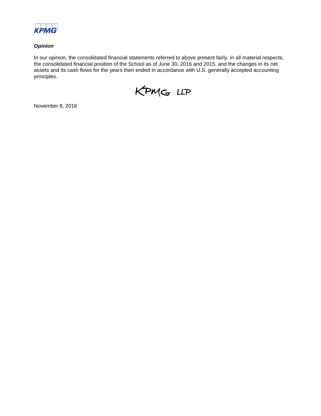

#### *Opinion*

In our opinion, the consolidated financial statements referred to above present fairly, in all material respects, the consolidated financial position of the School as of June 30, 2016 and 2015, and the changes in its net assets and its cash flows for the years then ended in accordance with U.S. generally accepted accounting principles.



November 8, 2016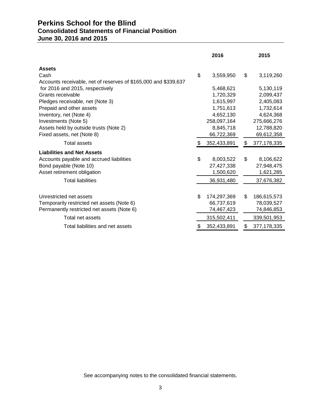# **Perkins School for the Blind Consolidated Statements of Financial Position June 30, 2016 and 2015**

|                                                                 | 2016              | 2015                |
|-----------------------------------------------------------------|-------------------|---------------------|
| <b>Assets</b>                                                   |                   |                     |
| Cash                                                            | \$<br>3,559,950   | \$<br>3,119,260     |
| Accounts receivable, net of reserves of \$165,000 and \$339,637 |                   |                     |
| for 2016 and 2015, respectively                                 | 5,468,621         | 5,130,119           |
| Grants receivable                                               | 1,720,329         | 2,099,437           |
| Pledges receivable, net (Note 3)                                | 1,615,997         | 2,405,083           |
| Prepaid and other assets                                        | 1,751,613         | 1,732,614           |
| Inventory, net (Note 4)                                         | 4,652,130         | 4,624,368           |
| Investments (Note 5)                                            | 258,097,164       | 275,666,276         |
| Assets held by outside trusts (Note 2)                          | 8,845,718         | 12,788,820          |
| Fixed assets, net (Note 8)                                      | 66,722,369        | 69,612,358          |
| Total assets                                                    | 352,433,891       | \$<br>377, 178, 335 |
| <b>Liabilities and Net Assets</b>                               |                   |                     |
| Accounts payable and accrued liabilities                        | \$<br>8,003,522   | \$<br>8,106,622     |
| Bond payable (Note 10)                                          | 27,427,338        | 27,948,475          |
| Asset retirement obligation                                     | 1,500,620         | 1,621,285           |
| <b>Total liabilities</b>                                        | 36,931,480        | 37,676,382          |
|                                                                 |                   |                     |
| Unrestricted net assets                                         | \$<br>174,297,369 | \$<br>186,615,573   |
| Temporarily restricted net assets (Note 6)                      | 66,737,619        | 78,039,527          |
| Permanently restricted net assets (Note 6)                      | 74,467,423        | 74,846,853          |
| Total net assets                                                | 315,502,411       | 339,501,953         |
| Total liabilities and net assets                                | 352,433,891       | \$<br>377, 178, 335 |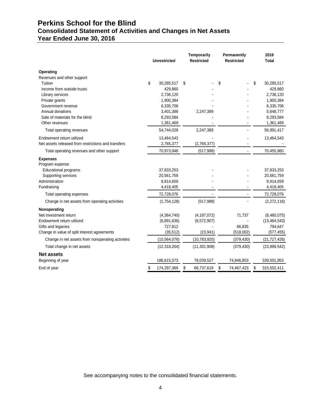# **Perkins School for the Blind Consolidated Statement of Activities and Changes in Net Assets**

# **Year Ended June 30, 2016**

|                                                     | <b>Unrestricted</b> | Temporarily<br><b>Restricted</b> | Permanently<br><b>Restricted</b> | 2016<br><b>Total</b> |  |
|-----------------------------------------------------|---------------------|----------------------------------|----------------------------------|----------------------|--|
| Operating                                           |                     |                                  |                                  |                      |  |
| Revenues and other support                          |                     |                                  |                                  |                      |  |
| Tuition                                             | \$<br>30,285,517    | \$                               | \$                               | \$<br>30,285,517     |  |
| Income from outside trusts                          | 429,860             |                                  |                                  | 429,860              |  |
| Library services                                    | 2,736,120           |                                  |                                  | 2,736,120            |  |
| Private grants                                      | 1,900,384           |                                  |                                  | 1,900,384            |  |
| Government revenue                                  | 6,335,706           |                                  |                                  | 6,335,706            |  |
| Annual donations                                    | 3,401,388           | 2,247,389                        |                                  | 5,648,777            |  |
| Sale of materials for the blind                     | 8,293,584           |                                  |                                  | 8,293,584            |  |
| Other revenues                                      | 1,361,469           |                                  |                                  | 1,361,469            |  |
| Total operating revenues                            | 54,744,028          | 2,247,389                        |                                  | 56,991,417           |  |
| Endowment return utilized                           | 13,464,543          |                                  |                                  | 13,464,543           |  |
| Net assets released from restrictions and transfers | 2,765,377           | (2,765,377)                      |                                  |                      |  |
| Total operating revenues and other support          | 70,973,948          | (517, 988)                       |                                  | 70,455,960           |  |
| <b>Expenses</b><br>Program expense                  |                     |                                  |                                  |                      |  |
| Educational programs                                | 37,833,253          |                                  |                                  | 37,833,253           |  |
| Supporting services                                 | 20,561,759          |                                  |                                  | 20,561,759           |  |
| Administration                                      | 9,914,659           |                                  |                                  | 9,914,659            |  |
| Fundraising                                         | 4,418,405           |                                  |                                  | 4,418,405            |  |
| Total operating expenses                            | 72,728,076          |                                  |                                  | 72,728,076           |  |
| Change in net assets from operating activities      | (1,754,128)         | (517, 988)                       |                                  | (2,272,116)          |  |
| Nonoperating                                        |                     |                                  |                                  |                      |  |
| Net investment return                               | (4,364,740)         | (4, 187, 072)                    | 71,737                           | (8,480,075)          |  |
| Endowment return utilized                           | (6,891,636)         | (6,572,907)                      |                                  | (13, 464, 543)       |  |
| Gifts and legacies                                  | 727,812             |                                  | 66,835                           | 794,647              |  |
| Change in value of split interest agreements        | (35, 512)           | (23, 941)                        | (518,002)                        | (577, 455)           |  |
| Change in net assets from nonoperating activities   | (10, 564, 076)      | (10, 783, 920)                   | (379, 430)                       | (21, 727, 426)       |  |
| Total change in net assets                          | (12, 318, 204)      | (11, 301, 908)                   | (379, 430)                       | (23,999,542)         |  |
| <b>Net assets</b>                                   |                     |                                  |                                  |                      |  |
| Beginning of year                                   | 186,615,573         | 78,039,527                       | 74,846,853                       | 339,501,953          |  |
| End of year                                         | \$<br>174,297,369   | \$<br>66,737,619                 | \$<br>74,467,423                 | \$<br>315,502,411    |  |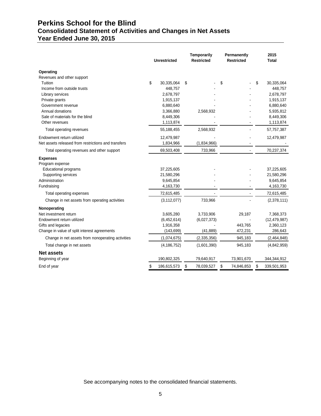# **Perkins School for the Blind Consolidated Statement of Activities and Changes in Net Assets**

**Year Ended June 30, 2015** 

|                                                     | <b>Unrestricted</b> | <b>Temporarily</b><br><b>Restricted</b> | Permanently<br><b>Restricted</b> | 2015<br><b>Total</b> |
|-----------------------------------------------------|---------------------|-----------------------------------------|----------------------------------|----------------------|
| Operating                                           |                     |                                         |                                  |                      |
| Revenues and other support                          |                     |                                         |                                  |                      |
| Tuition                                             | \$<br>30,335,064    | \$                                      | \$                               | \$<br>30,335,064     |
| Income from outside trusts                          | 448,757             |                                         |                                  | 448,757              |
| Library services                                    | 2,678,797           |                                         |                                  | 2,678,797            |
| Private grants                                      | 1,915,137           |                                         |                                  | 1,915,137            |
| Government revenue                                  | 6,880,640           |                                         |                                  | 6,880,640            |
| Annual donations                                    | 3,366,880           | 2,568,932                               |                                  | 5,935,812            |
| Sale of materials for the blind                     | 8,449,306           |                                         |                                  | 8,449,306            |
| Other revenues                                      | 1,113,874           |                                         |                                  | 1,113,874            |
| Total operating revenues                            | 55,188,455          | 2,568,932                               |                                  | 57,757,387           |
| Endowment return utilized                           | 12,479,987          |                                         |                                  | 12,479,987           |
| Net assets released from restrictions and transfers | 1,834,966           | (1,834,966)                             |                                  |                      |
| Total operating revenues and other support          | 69,503,408          | 733,966                                 |                                  | 70,237,374           |
| <b>Expenses</b><br>Program expense                  |                     |                                         |                                  |                      |
| Educational programs                                | 37,225,605          |                                         |                                  | 37,225,605           |
| Supporting services                                 | 21,580,296          |                                         |                                  | 21,580,296           |
| Administration                                      | 9,645,854           |                                         |                                  | 9,645,854            |
| Fundraising                                         | 4,163,730           |                                         |                                  | 4,163,730            |
| Total operating expenses                            | 72,615,485          |                                         |                                  | 72,615,485           |
| Change in net assets from operating activities      | (3, 112, 077)       | 733,966                                 |                                  | (2,378,111)          |
| Nonoperating                                        |                     |                                         |                                  |                      |
| Net investment return                               | 3,605,280           | 3,733,906                               | 29,187                           | 7,368,373            |
| Endowment return utilized                           | (6,452,614)         | (6,027,373)                             |                                  | (12, 479, 987)       |
| Gifts and legacies                                  | 1,916,358           |                                         | 443,765                          | 2,360,123            |
| Change in value of split interest agreements        | (143, 699)          | (41, 889)                               | 472,231                          | 286,643              |
| Change in net assets from nonoperating activities   | (1,074,675)         | (2,335,356)                             | 945,183                          | (2,464,848)          |
| Total change in net assets                          | (4, 186, 752)       | (1,601,390)                             | 945,183                          | (4,842,959)          |
| <b>Net assets</b>                                   |                     |                                         |                                  |                      |
| Beginning of year                                   | 190,802,325         | 79,640,917                              | 73,901,670                       | 344,344,912          |
| End of year                                         | \$<br>186,615,573   | \$<br>78,039,527                        | \$<br>74,846,853                 | \$<br>339,501,953    |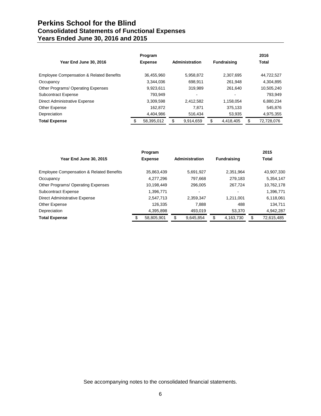# **Perkins School for the Blind Consolidated Statements of Functional Expenses Years Ended June 30, 2016 and 2015**

|                                                     | Program        |                |                    | 2016             |
|-----------------------------------------------------|----------------|----------------|--------------------|------------------|
| Year End June 30, 2016                              | <b>Expense</b> | Administration | <b>Fundraising</b> | Total            |
| <b>Employee Compensation &amp; Related Benefits</b> | 36.455.960     | 5.958.872      | 2.307.695          | 44,722,527       |
| Occupancy                                           | 3.344.036      | 698.911        | 261.948            | 4,304,895        |
| Other Programs/ Operating Expenses                  | 9,923,611      | 319.989        | 261.640            | 10,505,240       |
| <b>Subcontract Expense</b>                          | 793,949        | $\blacksquare$ |                    | 793,949          |
| Direct Administrative Expense                       | 3,309,598      | 2,412,582      | 1.158.054          | 6,880,234        |
| Other Expense                                       | 162.872        | 7.871          | 375.133            | 545.876          |
| Depreciation                                        | 4,404,986      | 516,434        | 53,935             | 4,975,355        |
| <b>Total Expense</b>                                | 58.395.012     | 9.914.659      | \$<br>4.418.405    | \$<br>72,728,076 |

|                                                     | Program        |                |                    | 2015             |
|-----------------------------------------------------|----------------|----------------|--------------------|------------------|
| Year End June 30, 2015                              | <b>Expense</b> | Administration | <b>Fundraising</b> | <b>Total</b>     |
| <b>Employee Compensation &amp; Related Benefits</b> | 35,863,439     | 5,691,927      | 2.351.964          | 43,907,330       |
| Occupancy                                           | 4,277,296      | 797.668        | 279.183            | 5,354,147        |
| Other Programs/ Operating Expenses                  | 10.198.449     | 296.005        | 267.724            | 10,762,178       |
| <b>Subcontract Expense</b>                          | 1,396,771      | $\blacksquare$ |                    | 1,396,771        |
| Direct Administrative Expense                       | 2,547,713      | 2,359,347      | 1.211.001          | 6,118,061        |
| Other Expense                                       | 126.335        | 7.888          | 488                | 134,711          |
| Depreciation                                        | 4,395,898      | 493,019        | 53,370             | 4,942,287        |
| <b>Total Expense</b>                                | 58.805.901     | 9.645.854      | 4,163,730          | \$<br>72,615,485 |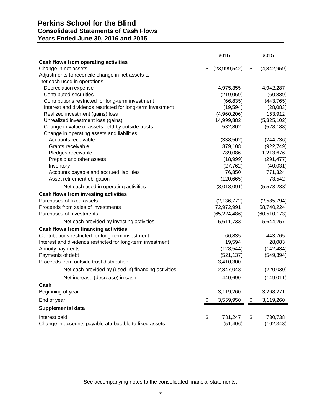## **Perkins School for the Blind Consolidated Statements of Cash Flows Years Ended June 30, 2016 and 2015**

|                                                            | 2016               |      | 2015           |
|------------------------------------------------------------|--------------------|------|----------------|
| Cash flows from operating activities                       |                    |      |                |
| Change in net assets                                       | \$<br>(23,999,542) | \$   | (4,842,959)    |
| Adjustments to reconcile change in net assets to           |                    |      |                |
| net cash used in operations                                |                    |      |                |
| Depreciation expense                                       | 4,975,355          |      | 4,942,287      |
| <b>Contributed securities</b>                              | (219,069)          |      | (60, 889)      |
| Contributions restricted for long-term investment          | (66, 835)          |      | (443, 765)     |
| Interest and dividends restricted for long-term investment | (19, 594)          |      | (28,083)       |
| Realized investment (gains) loss                           | (4,960,206)        |      | 153,912        |
| Unrealized investment loss (gains)                         | 14,999,882         |      | (5,325,102)    |
| Change in value of assets held by outside trusts           | 532,802            |      | (528, 188)     |
| Change in operating assets and liabilities:                |                    |      |                |
| Accounts receivable                                        | (338, 502)         |      | (244, 736)     |
| Grants receivable                                          | 379,108            |      | (922, 749)     |
| Pledges receivable                                         | 789,086            |      | 1,213,676      |
| Prepaid and other assets                                   | (18,999)           |      | (291, 477)     |
| Inventory                                                  | (27, 762)          |      | (40, 031)      |
| Accounts payable and accrued liabilities                   | 76,850             |      | 771,324        |
| Asset retirement obligation                                | (120, 665)         |      | 73,542         |
| Net cash used in operating activities                      | (8,018,091)        |      | (5,573,238)    |
| Cash flows from investing activities                       |                    |      |                |
| Purchases of fixed assets                                  | (2, 136, 772)      |      | (2,585,794)    |
| Proceeds from sales of investments                         | 72,972,991         |      | 68,740,224     |
| Purchases of investments                                   | (65, 224, 486)     |      | (60, 510, 173) |
| Net cash provided by investing activities                  | 5,611,733          |      | 5,644,257      |
| <b>Cash flows from financing activities</b>                |                    |      |                |
| Contributions restricted for long-term investment          | 66,835             |      | 443,765        |
| Interest and dividends restricted for long-term investment | 19,594             |      | 28,083         |
| Annuity payments                                           | (128, 544)         |      | (142, 484)     |
| Payments of debt                                           | (521, 137)         |      | (549, 394)     |
| Proceeds from outside trust distribution                   | 3,410,300          |      |                |
| Net cash provided by (used in) financing activities        | 2,847,048          |      | (220, 030)     |
| Net increase (decrease) in cash                            | 440,690            |      | (149, 011)     |
| Cash                                                       |                    |      |                |
| Beginning of year                                          | 3,119,260          |      | 3,268,271      |
| End of year                                                | \$<br>3,559,950    | $\,$ | 3,119,260      |
| Supplemental data                                          |                    |      |                |
| Interest paid                                              | \$<br>781,247      | \$   | 730,738        |
| Change in accounts payable attributable to fixed assets    | (51, 406)          |      | (102, 348)     |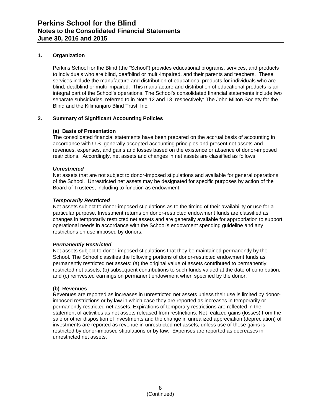#### **1. Organization**

Perkins School for the Blind (the "School") provides educational programs, services, and products to individuals who are blind, deafblind or multi-impaired, and their parents and teachers. These services include the manufacture and distribution of educational products for individuals who are blind, deafblind or multi-impaired. This manufacture and distribution of educational products is an integral part of the School's operations. The School's consolidated financial statements include two separate subsidiaries, referred to in Note 12 and 13, respectively: The John Milton Society for the Blind and the Kilimanjaro Blind Trust, Inc.

#### **2. Summary of Significant Accounting Policies**

#### **(a) Basis of Presentation**

The consolidated financial statements have been prepared on the accrual basis of accounting in accordance with U.S. generally accepted accounting principles and present net assets and revenues, expenses, and gains and losses based on the existence or absence of donor-imposed restrictions. Accordingly, net assets and changes in net assets are classified as follows:

#### *Unrestricted*

Net assets that are not subject to donor-imposed stipulations and available for general operations of the School. Unrestricted net assets may be designated for specific purposes by action of the Board of Trustees, including to function as endowment.

#### *Temporarily Restricted*

Net assets subject to donor-imposed stipulations as to the timing of their availability or use for a particular purpose. Investment returns on donor-restricted endowment funds are classified as changes in temporarily restricted net assets and are generally available for appropriation to support operational needs in accordance with the School's endowment spending guideline and any restrictions on use imposed by donors.

#### *Permanently Restricted*

Net assets subject to donor-imposed stipulations that they be maintained permanently by the School. The School classifies the following portions of donor-restricted endowment funds as permanently restricted net assets: (a) the original value of assets contributed to permanently restricted net assets, (b) subsequent contributions to such funds valued at the date of contribution, and (c) reinvested earnings on permanent endowment when specified by the donor.

#### **(b) Revenues**

Revenues are reported as increases in unrestricted net assets unless their use is limited by donorimposed restrictions or by law in which case they are reported as increases in temporarily or permanently restricted net assets. Expirations of temporary restrictions are reflected in the statement of activities as net assets released from restrictions. Net realized gains (losses) from the sale or other disposition of investments and the change in unrealized appreciation (depreciation) of investments are reported as revenue in unrestricted net assets, unless use of these gains is restricted by donor-imposed stipulations or by law. Expenses are reported as decreases in unrestricted net assets.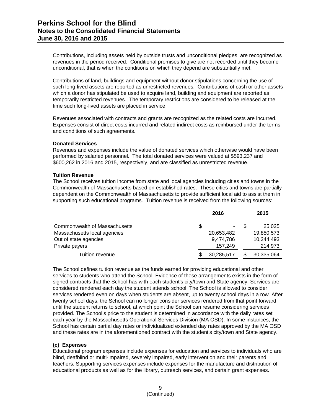Contributions, including assets held by outside trusts and unconditional pledges, are recognized as revenues in the period received. Conditional promises to give are not recorded until they become unconditional, that is when the conditions on which they depend are substantially met.

Contributions of land, buildings and equipment without donor stipulations concerning the use of such long-lived assets are reported as unrestricted revenues. Contributions of cash or other assets which a donor has stipulated be used to acquire land, building and equipment are reported as temporarily restricted revenues. The temporary restrictions are considered to be released at the time such long-lived assets are placed in service.

Revenues associated with contracts and grants are recognized as the related costs are incurred. Expenses consist of direct costs incurred and related indirect costs as reimbursed under the terms and conditions of such agreements.

#### **Donated Services**

Revenues and expenses include the value of donated services which otherwise would have been performed by salaried personnel. The total donated services were valued at \$593,237 and \$600,262 in 2016 and 2015, respectively, and are classified as unrestricted revenue.

#### **Tuition Revenue**

The School receives tuition income from state and local agencies including cities and towns in the Commonwealth of Massachusetts based on established rates. These cities and towns are partially dependent on the Commonwealth of Massachusetts to provide sufficient local aid to assist them in supporting such educational programs. Tuition revenue is received from the following sources:

|                               | 2016       | 2015       |
|-------------------------------|------------|------------|
| Commonwealth of Massachusetts | \$<br>۰.   | 25.025     |
| Massachusetts local agencies  | 20,653,482 | 19,850,573 |
| Out of state agencies         | 9,474,786  | 10,244,493 |
| Private payers                | 157.249    | 214,973    |
| Tuition revenue               | 30,285,517 | 30,335,064 |

The School defines tuition revenue as the funds earned for providing educational and other services to students who attend the School. Evidence of these arrangements exists in the form of signed contracts that the School has with each student's city/town and State agency. Services are considered rendered each day the student attends school. The School is allowed to consider services rendered even on days when students are absent, up to twenty school days in a row. After twenty school days, the School can no longer consider services rendered from that point forward until the student returns to school, at which point the School can resume considering services provided. The School's price to the student is determined in accordance with the daily rates set each year by the Massachusetts Operational Services Division (MA OSD). In some instances, the School has certain partial day rates or individualized extended day rates approved by the MA OSD and these rates are in the aforementioned contract with the student's city/town and State agency.

#### **(c) Expenses**

Educational program expenses include expenses for education and services to individuals who are blind, deafblind or multi-impaired, severely impaired, early intervention and their parents and teachers. Supporting services expenses include expenses for the manufacture and distribution of educational products as well as for the library, outreach services, and certain grant expenses.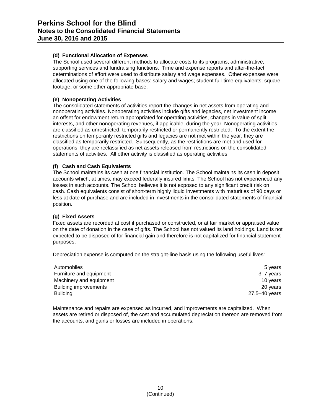#### **(d) Functional Allocation of Expenses**

The School used several different methods to allocate costs to its programs, administrative, supporting services and fundraising functions. Time and expense reports and after-the-fact determinations of effort were used to distribute salary and wage expenses. Other expenses were allocated using one of the following bases: salary and wages; student full-time equivalents; square footage, or some other appropriate base.

#### **(e) Nonoperating Activities**

The consolidated statements of activities report the changes in net assets from operating and nonoperating activities. Nonoperating activities include gifts and legacies, net investment income, an offset for endowment return appropriated for operating activities, changes in value of split interests, and other nonoperating revenues, if applicable, during the year. Nonoperating activities are classified as unrestricted, temporarily restricted or permanently restricted. To the extent the restrictions on temporarily restricted gifts and legacies are not met within the year, they are classified as temporarily restricted. Subsequently, as the restrictions are met and used for operations, they are reclassified as net assets released from restrictions on the consolidated statements of activities. All other activity is classified as operating activities.

#### **(f) Cash and Cash Equivalents**

The School maintains its cash at one financial institution. The School maintains its cash in deposit accounts which, at times, may exceed federally insured limits. The School has not experienced any losses in such accounts. The School believes it is not exposed to any significant credit risk on cash. Cash equivalents consist of short-term highly liquid investments with maturities of 90 days or less at date of purchase and are included in investments in the consolidated statements of financial position.

#### **(g) Fixed Assets**

Fixed assets are recorded at cost if purchased or constructed, or at fair market or appraised value on the date of donation in the case of gifts. The School has not valued its land holdings. Land is not expected to be disposed of for financial gain and therefore is not capitalized for financial statement purposes.

Depreciation expense is computed on the straight-line basis using the following useful lives:

| Automobiles                  | 5 years       |
|------------------------------|---------------|
| Furniture and equipment      | 3–7 years     |
| Machinery and equipment      | 10 years      |
| <b>Building improvements</b> | 20 years      |
| <b>Building</b>              | 27.5–40 years |

Maintenance and repairs are expensed as incurred, and improvements are capitalized. When assets are retired or disposed of, the cost and accumulated depreciation thereon are removed from the accounts, and gains or losses are included in operations.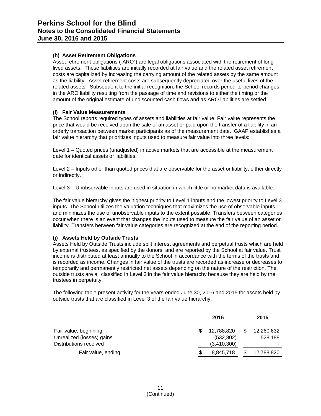#### **(h) Asset Retirement Obligations**

Asset retirement obligations ("ARO") are legal obligations associated with the retirement of long lived assets. These liabilities are initially recorded at fair value and the related asset retirement costs are capitalized by increasing the carrying amount of the related assets by the same amount as the liability. Asset retirement costs are subsequently depreciated over the useful lives of the related assets. Subsequent to the initial recognition, the School records period-to-period changes in the ARO liability resulting from the passage of time and revisions to either the timing or the amount of the original estimate of undiscounted cash flows and as ARO liabilities are settled.

#### **(i) Fair Value Measurements**

The School reports required types of assets and liabilities at fair value. Fair value represents the price that would be received upon the sale of an asset or paid upon the transfer of a liability in an orderly transaction between market participants as of the measurement date. GAAP establishes a fair value hierarchy that prioritizes inputs used to measure fair value into three levels:

Level 1 – Quoted prices (unadjusted) in active markets that are accessible at the measurement date for identical assets or liabilities.

Level 2 – Inputs other than quoted prices that are observable for the asset or liability, either directly or indirectly.

Level 3 – Unobservable inputs are used in situation in which little or no market data is available.

The fair value hierarchy gives the highest priority to Level 1 inputs and the lowest priority to Level 3 inputs. The School utilizes the valuation techniques that maximizes the use of observable inputs and minimizes the use of unobservable inputs to the extent possible. Transfers between categories occur when there is an event that changes the inputs used to measure the fair value of an asset or liability. Transfers between fair value categories are recognized at the end of the reporting period.

#### **(j) Assets Held by Outside Trusts**

Assets Held by Outside Trusts include split interest agreements and perpetual trusts which are held by external trustees, as specified by the donors, and are reported by the School at fair value. Trust income is distributed at least annually to the School in accordance with the terms of the trusts and is recorded as income. Changes in fair value of the trusts are recorded as increase or decreases to temporarily and permanently restricted net assets depending on the nature of the restriction. The outside trusts are all classified in Level 3 in the fair value hierarchy because they are held by the trustees in perpetuity.

The following table present activity for the years ended June 30, 2016 and 2015 for assets held by outside trusts that are classified in Level 3 of the fair value hierarchy:

|                           | 2016        | 2015       |
|---------------------------|-------------|------------|
| Fair value, beginning     | 12,788,820  | 12,260,632 |
| Unrealized (losses) gains | (532, 802)  | 528,188    |
| Distributions received    | (3,410,300) |            |
| Fair value, ending        | 8,845,718   | 12,788,820 |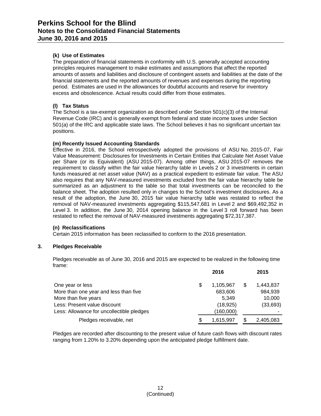#### **(k) Use of Estimates**

The preparation of financial statements in conformity with U.S. generally accepted accounting principles requires management to make estimates and assumptions that affect the reported amounts of assets and liabilities and disclosure of contingent assets and liabilities at the date of the financial statements and the reported amounts of revenues and expenses during the reporting period. Estimates are used in the allowances for doubtful accounts and reserve for inventory excess and obsolescence. Actual results could differ from those estimates.

#### **(l) Tax Status**

The School is a tax-exempt organization as described under Section 501(c)(3) of the Internal Revenue Code (IRC) and is generally exempt from federal and state income taxes under Section 501(a) of the IRC and applicable state laws. The School believes it has no significant uncertain tax positions.

#### **(m) Recently Issued Accounting Standards**

Effective in 2016, the School retrospectively adopted the provisions of ASU No. 2015-07, Fair Value Measurement: Disclosures for Investments in Certain Entities that Calculate Net Asset Value per Share (or its Equivalent) (ASU 2015-07). Among other things, ASU 2015-07 removes the requirement to classify within the fair value hierarchy table in Levels 2 or 3 investments in certain funds measured at net asset value (NAV) as a practical expedient to estimate fair value. The ASU also requires that any NAV-measured investments excluded from the fair value hierarchy table be summarized as an adjustment to the table so that total investments can be reconciled to the balance sheet. The adoption resulted only in changes to the School's investment disclosures. As a result of the adoption, the June 30, 2015 fair value hierarchy table was restated to reflect the removal of NAV-measured investments aggregating \$115,547,681 in Level 2 and \$69,492,352 in Level 3. In addition, the June 30, 2014 opening balance in the Level 3 roll forward has been restated to reflect the removal of NAV-measured investments aggregating \$72,317,387.

#### **(n) Reclassifications**

Certain 2015 information has been reclassified to conform to the 2016 presentation.

#### **3. Pledges Receivable**

Pledges receivable as of June 30, 2016 and 2015 are expected to be realized in the following time frame:

|                                           |   | 2016      |   | 2015      |
|-------------------------------------------|---|-----------|---|-----------|
| One year or less                          | S | 1,105,967 | S | 1,443,837 |
| More than one year and less than five     |   | 683,606   |   | 984,939   |
| More than five years                      |   | 5.349     |   | 10,000    |
| Less: Present value discount              |   | (18, 925) |   | (33, 693) |
| Less: Allowance for uncollectible pledges |   | (160,000) |   |           |
| Pledges receivable, net                   | S | 1,615,997 |   | 2,405,083 |

Pledges are recorded after discounting to the present value of future cash flows with discount rates ranging from 1.20% to 3.20% depending upon the anticipated pledge fulfillment date.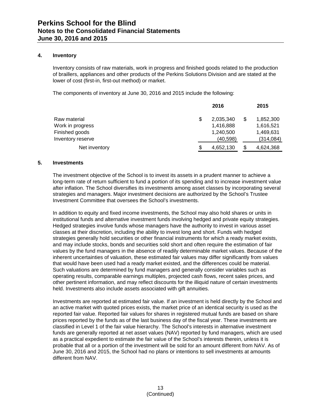#### **4. Inventory**

Inventory consists of raw materials, work in progress and finished goods related to the production of braillers, appliances and other products of the Perkins Solutions Division and are stated at the lower of cost (first-in, first-out method) or market.

The components of inventory at June 30, 2016 and 2015 include the following:

|                   |   | 2016      | 2015            |
|-------------------|---|-----------|-----------------|
| Raw material      | S | 2,035,340 | \$<br>1,852,300 |
| Work in progress  |   | 1,416,888 | 1,616,521       |
| Finished goods    |   | 1,240,500 | 1,469,631       |
| Inventory reserve |   | (40, 598) | (314,084)       |
| Net inventory     | S | 4,652,130 | \$<br>4,624,368 |

#### **5. Investments**

The investment objective of the School is to invest its assets in a prudent manner to achieve a long-term rate of return sufficient to fund a portion of its spending and to increase investment value after inflation. The School diversifies its investments among asset classes by incorporating several strategies and managers. Major investment decisions are authorized by the School's Trustee Investment Committee that oversees the School's investments.

In addition to equity and fixed income investments, the School may also hold shares or units in institutional funds and alternative investment funds involving hedged and private equity strategies. Hedged strategies involve funds whose managers have the authority to invest in various asset classes at their discretion, including the ability to invest long and short. Funds with hedged strategies generally hold securities or other financial instruments for which a ready market exists, and may include stocks, bonds and securities sold short and often require the estimation of fair values by the fund managers in the absence of readily determinable market values. Because of the inherent uncertainties of valuation, these estimated fair values may differ significantly from values that would have been used had a ready market existed, and the differences could be material. Such valuations are determined by fund managers and generally consider variables such as operating results, comparable earnings multiples, projected cash flows, recent sales prices, and other pertinent information, and may reflect discounts for the illiquid nature of certain investments held. Investments also include assets associated with gift annuities.

Investments are reported at estimated fair value. If an investment is held directly by the School and an active market with quoted prices exists, the market price of an identical security is used as the reported fair value. Reported fair values for shares in registered mutual funds are based on share prices reported by the funds as of the last business day of the fiscal year. These investments are classified in Level 1 of the fair value hierarchy. The School's interests in alternative investment funds are generally reported at net asset values (NAV) reported by fund managers, which are used as a practical expedient to estimate the fair value of the School's interests therein, unless it is probable that all or a portion of the investment will be sold for an amount different from NAV. As of June 30, 2016 and 2015, the School had no plans or intentions to sell investments at amounts different from NAV.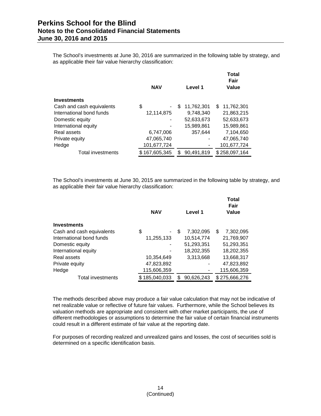The School's investments at June 30, 2016 are summarized in the following table by strategy, and as applicable their fair value hierarchy classification:

|                           | <b>NAV</b>    | Level 1         | Total<br>Fair<br>Value |
|---------------------------|---------------|-----------------|------------------------|
| <b>Investments</b>        |               |                 |                        |
| Cash and cash equivalents | \$            | 11,762,301<br>S | 11,762,301<br>S        |
| International bond funds  | 12,114,875    | 9.748.340       | 21,863,215             |
| Domestic equity           |               | 52,633,673      | 52,633,673             |
| International equity      |               | 15,989,861      | 15,989,861             |
| Real assets               | 6,747,006     | 357,644         | 7,104,650              |
| Private equity            | 47,065,740    |                 | 47,065,740             |
| Hedge                     | 101,677,724   |                 | 101,677,724            |
| Total investments         | \$167,605,345 | 90,491,819      | \$258,097,164          |

The School's investments at June 30, 2015 are summarized in the following table by strategy, and as applicable their fair value hierarchy classification:

|                           | <b>NAV</b>    | Level 1          | <b>Total</b><br>Fair<br>Value |
|---------------------------|---------------|------------------|-------------------------------|
| <b>Investments</b>        |               |                  |                               |
| Cash and cash equivalents | \$            | \$.<br>7.302.095 | \$.<br>7.302.095              |
| International bond funds  | 11,255,133    | 10.514.774       | 21,769,907                    |
| Domestic equity           |               | 51,293,351       | 51,293,351                    |
| International equity      |               | 18,202,355       | 18,202,355                    |
| Real assets               | 10,354,649    | 3,313,668        | 13,668,317                    |
| Private equity            | 47,823,892    |                  | 47,823,892                    |
| Hedge                     | 115,606,359   |                  | 115,606,359                   |
| <b>Total investments</b>  | \$185,040,033 | 90,626,243       | \$275,666,276                 |

The methods described above may produce a fair value calculation that may not be indicative of net realizable value or reflective of future fair values. Furthermore, while the School believes its valuation methods are appropriate and consistent with other market participants, the use of different methodologies or assumptions to determine the fair value of certain financial instruments could result in a different estimate of fair value at the reporting date.

For purposes of recording realized and unrealized gains and losses, the cost of securities sold is determined on a specific identification basis.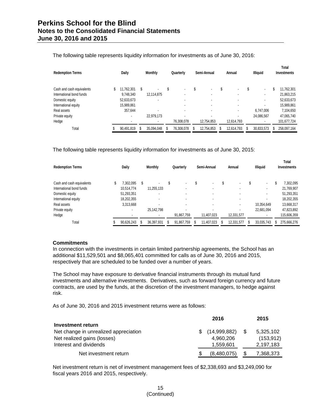| The following table represents liquidity information for investments as of June 30, 2016: |  |  |
|-------------------------------------------------------------------------------------------|--|--|
|                                                                                           |  |  |

| <b>Redemption Terms</b>   |   | Daily      |    | <b>Monthly</b> |  | Quarterly                |  | Semi-Annual              |    | Annual                   |    | <b>Illiguid</b>          | Total<br><b>Investments</b> |             |
|---------------------------|---|------------|----|----------------|--|--------------------------|--|--------------------------|----|--------------------------|----|--------------------------|-----------------------------|-------------|
| Cash and cash equivalents | S | 11.762.301 | S  |                |  | $\overline{\phantom{a}}$ |  | $\overline{\phantom{a}}$ | S  | $\overline{\phantom{a}}$ | S  | $\overline{\phantom{a}}$ | S                           | 11,762,301  |
| International bond funds  |   | 9.748.340  |    | 12,114,875     |  | $\overline{\phantom{a}}$ |  | ٠                        |    |                          |    |                          |                             | 21,863,215  |
| Domestic equity           |   | 52,633,673 |    |                |  | ۰                        |  | $\overline{\phantom{a}}$ |    |                          |    |                          |                             | 52,633,673  |
| International equity      |   | 15,989,861 |    |                |  |                          |  | $\overline{\phantom{a}}$ |    |                          |    |                          |                             | 15,989,861  |
| Real assets               |   | 357,644    |    |                |  | $\overline{\phantom{a}}$ |  | $\overline{\phantom{a}}$ |    |                          |    | 6.747.006                |                             | 7,104,650   |
| Private equity            |   |            |    | 22,979,173     |  |                          |  | $\overline{\phantom{a}}$ |    |                          |    | 24,086,567               |                             | 47,065,740  |
| Hedge                     |   |            |    |                |  | 76,308,078               |  | 12,754,853               |    | 12,614,793               |    |                          |                             | 101,677,724 |
| Total                     |   | 90,491,819 | ß. | 35,094,048     |  | 76,308,078               |  | 12,754,853               | S. | 12,614,793               | £. | 30,833,573               |                             | 258,097,164 |

The following table represents liquidity information for investments as of June 30, 2015:

| <b>Redemption Terms</b>   | <b>Daily</b><br><b>Monthly</b><br>Quarterly |            | Semi-Annual |            |                          | Annual |                          | <b>Illiguid</b> | <b>Total</b><br><b>Investments</b> |   |            |   |             |
|---------------------------|---------------------------------------------|------------|-------------|------------|--------------------------|--------|--------------------------|-----------------|------------------------------------|---|------------|---|-------------|
| Cash and cash equivalents |                                             | 7.302.095  | S           |            | \$                       | \$     | $\blacksquare$           | J               |                                    | S |            | S | 7.302.095   |
| International bond funds  |                                             | 10,514,774 |             | 11,255,133 | $\overline{\phantom{a}}$ |        | $\overline{\phantom{a}}$ |                 | ۰                                  |   | ٠          |   | 21,769,907  |
| Domestic equity           |                                             | 51,293,351 |             | ٠          | ٠                        |        | $\overline{\phantom{a}}$ |                 |                                    |   | ٠          |   | 51,293,351  |
| International equity      |                                             | 18.202.355 |             | ۰          | ٠                        |        | $\overline{\phantom{a}}$ |                 |                                    |   | ۰.         |   | 18,202,355  |
| Real assets               |                                             | 3,313,668  |             |            | $\blacksquare$           |        | $\overline{\phantom{a}}$ |                 |                                    |   | 10,354,649 |   | 13,668,317  |
| Private equity            |                                             | ٠          |             | 25,142,798 | $\overline{\phantom{a}}$ |        | $\overline{\phantom{a}}$ |                 |                                    |   | 22,681,094 |   | 47,823,892  |
| Hedge                     |                                             |            |             |            | 91,867,759               |        | 11,407,023               |                 | 12,331,577                         |   |            |   | 115,606,359 |
| Total                     |                                             | 90,626,243 |             | 36,397,931 | 91.867.759               | \$     | 11,407,023               |                 | 12,331,577                         |   | 33,035,743 |   | 275,666,276 |

#### **Commitments**

In connection with the investments in certain limited partnership agreements, the School has an additional \$11,529,501 and \$8,065,401 committed for calls as of June 30, 2016 and 2015, respectively that are scheduled to be funded over a number of years.

The School may have exposure to derivative financial instruments through its mutual fund investments and alternative investments. Derivatives, such as forward foreign currency and future contracts, are used by the funds, at the discretion of the investment managers, to hedge against risk.

As of June 30, 2016 and 2015 investment returns were as follows:

|                                       |     | 2016         |      | 2015       |
|---------------------------------------|-----|--------------|------|------------|
| <b>Investment return</b>              |     |              |      |            |
| Net change in unrealized appreciation | SS. | (14,999,882) | - \$ | 5,325,102  |
| Net realized gains (losses)           |     | 4.960.206    |      | (153, 912) |
| Interest and dividends                |     | 1,559,601    |      | 2,197,183  |
| Net investment return                 |     | (8,480,075)  |      | 7,368,373  |

Net investment return is net of investment management fees of \$2,338,693 and \$3,249,090 for fiscal years 2016 and 2015, respectively.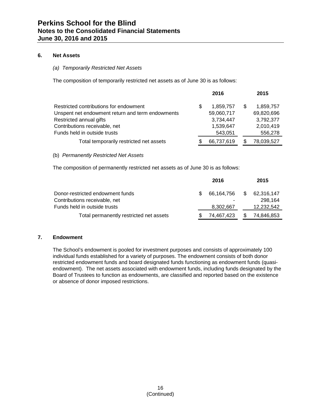#### **6. Net Assets**

#### *(a) Temporarily Restricted Net Assets*

The composition of temporarily restricted net assets as of June 30 is as follows:

|                                                  |     | 2016       |      | 2015       |
|--------------------------------------------------|-----|------------|------|------------|
| Restricted contributions for endowment           | \$. | 1,859,757  | - \$ | 1,859,757  |
| Unspent net endowment return and term endowments |     | 59,060,717 |      | 69,820,696 |
| Restricted annual gifts                          |     | 3,734,447  |      | 3,792,377  |
| Contributions receivable, net                    |     | 1,539,647  |      | 2,010,419  |
| Funds held in outside trusts                     |     | 543,051    |      | 556,278    |
| Total temporarily restricted net assets          | \$. | 66,737,619 |      | 78,039,527 |

#### (b) *Permanently Restricted Net Assets*

The composition of permanently restricted net assets as of June 30 is as follows:

|                                         |    | 2016       |      | 2015       |
|-----------------------------------------|----|------------|------|------------|
| Donor-restricted endowment funds        | £. | 66.164.756 | - \$ | 62,316,147 |
| Contributions receivable, net           |    |            |      | 298.164    |
| Funds held in outside trusts            |    | 8,302,667  |      | 12,232,542 |
| Total permanently restricted net assets |    | 74,467,423 |      | 74.846.853 |

#### **7. Endowment**

The School's endowment is pooled for investment purposes and consists of approximately 100 individual funds established for a variety of purposes. The endowment consists of both donor restricted endowment funds and board designated funds functioning as endowment funds (quasiendowment). The net assets associated with endowment funds, including funds designated by the Board of Trustees to function as endowments, are classified and reported based on the existence or absence of donor imposed restrictions.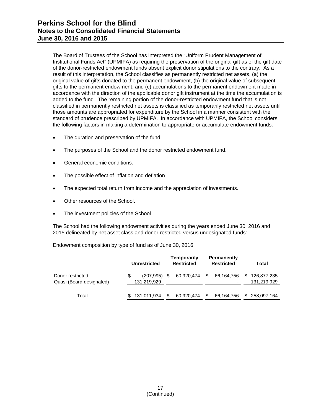The Board of Trustees of the School has interpreted the "Uniform Prudent Management of Institutional Funds Act" (UPMIFA) as requiring the preservation of the original gift as of the gift date of the donor-restricted endowment funds absent explicit donor stipulations to the contrary. As a result of this interpretation, the School classifies as permanently restricted net assets, (a) the original value of gifts donated to the permanent endowment, (b) the original value of subsequent gifts to the permanent endowment, and (c) accumulations to the permanent endowment made in accordance with the direction of the applicable donor gift instrument at the time the accumulation is added to the fund. The remaining portion of the donor-restricted endowment fund that is not classified in permanently restricted net assets is classified as temporarily restricted net assets until those amounts are appropriated for expenditure by the School in a manner consistent with the standard of prudence prescribed by UPMIFA. In accordance with UPMIFA, the School considers the following factors in making a determination to appropriate or accumulate endowment funds:

- The duration and preservation of the fund.
- The purposes of the School and the donor restricted endowment fund.
- General economic conditions.
- The possible effect of inflation and deflation.
- The expected total return from income and the appreciation of investments.
- Other resources of the School.
- The investment policies of the School.

The School had the following endowment activities during the years ended June 30, 2016 and 2015 delineated by net asset class and donor-restricted versus undesignated funds:

Endowment composition by type of fund as of June 30, 2016:

|                                              | Unrestricted |                                |     | Temporarily<br><b>Restricted</b> | <b>Permanently</b><br><b>Restricted</b> |            |    | Total                      |  |  |
|----------------------------------------------|--------------|--------------------------------|-----|----------------------------------|-----------------------------------------|------------|----|----------------------------|--|--|
| Donor restricted<br>Quasi (Board-designated) |              | $(207, 995)$ \$<br>131,219,929 |     | 60,920,474<br>-                  | - \$                                    | 66,164,756 | \$ | 126,877,235<br>131,219,929 |  |  |
| Total                                        |              | \$131,011,934                  | \$. | 60,920,474                       |                                         | 66,164,756 |    | \$ 258,097,164             |  |  |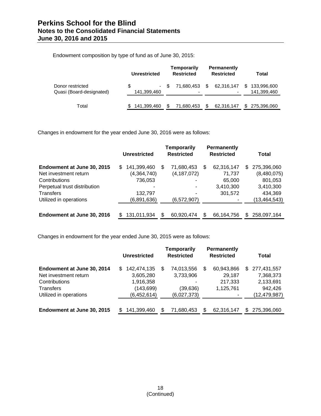Endowment composition by type of fund as of June 30, 2015:

|                                              | Unrestricted      | Temporarily<br><b>Restricted</b> | <b>Permanently</b><br><b>Restricted</b> | Total                            |
|----------------------------------------------|-------------------|----------------------------------|-----------------------------------------|----------------------------------|
| Donor restricted<br>Quasi (Board-designated) | \$<br>141,399,460 | 71.680.453<br>$-$ \$             | S<br>62,316,147<br>٠                    | 133,996,600<br>S.<br>141,399,460 |
| Total                                        | 141,399,460<br>S. | S<br>71,680,453                  | 62,316,147                              | 275,396,060<br>SS.               |

Changes in endowment for the year ended June 30, 2016 were as follows:

|                              |     | <b>Unrestricted</b> |    | <b>Temporarily</b><br><b>Restricted</b> | <b>Permanently</b><br><b>Restricted</b> |            |   | Total          |
|------------------------------|-----|---------------------|----|-----------------------------------------|-----------------------------------------|------------|---|----------------|
| Endowment at June 30, 2015   | \$. | 141,399,460         | S  | 71,680,453                              | S                                       | 62,316,147 | S | 275,396,060    |
| Net investment return        |     | (4,364,740)         |    | (4, 187, 072)                           |                                         | 71,737     |   | (8,480,075)    |
| Contributions                |     | 736,053             |    |                                         |                                         | 65,000     |   | 801,053        |
| Perpetual trust distribution |     | ۰                   |    |                                         |                                         | 3,410,300  |   | 3,410,300      |
| Transfers                    |     | 132,797             |    |                                         |                                         | 301,572    |   | 434,369        |
| Utilized in operations       |     | (6,891,636)         |    | (6, 572, 907)                           |                                         |            |   | (13, 464, 543) |
|                              |     |                     |    |                                         |                                         |            |   |                |
| Endowment at June 30, 2016   | \$  | 131,011,934         | \$ | 60,920,474                              | S                                       | 66,164,756 | S | 258,097,164    |

Changes in endowment for the year ended June 30, 2015 were as follows:

|                            |     | Unrestricted |     | <b>Temporarily</b><br><b>Restricted</b> | Permanently<br><b>Restricted</b> |            |    | Total          |
|----------------------------|-----|--------------|-----|-----------------------------------------|----------------------------------|------------|----|----------------|
| Endowment at June 30, 2014 | \$. | 142,474,135  | S   | 74,013,556                              | S                                | 60,943,866 | S  | 277,431,557    |
| Net investment return      |     | 3,605,280    |     | 3,733,906                               |                                  | 29,187     |    | 7,368,373      |
| Contributions              |     | 1,916,358    |     |                                         |                                  | 217,333    |    | 2,133,691      |
| Transfers                  |     | (143,699)    |     | (39, 636)                               |                                  | 1,125,761  |    | 942,426        |
| Utilized in operations     |     | (6,452,614)  |     | (6,027,373)                             |                                  |            |    | (12, 479, 987) |
|                            |     |              |     |                                         |                                  |            |    |                |
| Endowment at June 30, 2015 |     | 141,399,460  | \$. | 71.680.453                              | S                                | 62.316.147 | S. | 275.396.060    |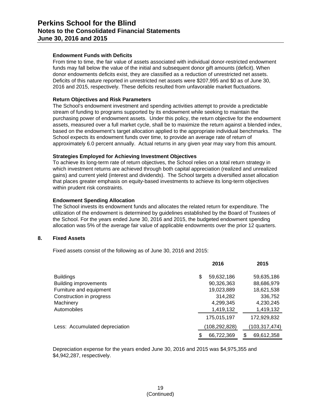#### **Endowment Funds with Deficits**

From time to time, the fair value of assets associated with individual donor-restricted endowment funds may fall below the value of the initial and subsequent donor gift amounts (deficit). When donor endowments deficits exist, they are classified as a reduction of unrestricted net assets. Deficits of this nature reported in unrestricted net assets were \$207,995 and \$0 as of June 30, 2016 and 2015, respectively. These deficits resulted from unfavorable market fluctuations.

#### **Return Objectives and Risk Parameters**

The School's endowment investment and spending activities attempt to provide a predictable stream of funding to programs supported by its endowment while seeking to maintain the purchasing power of endowment assets. Under this policy, the return objective for the endowment assets, measured over a full market cycle, shall be to maximize the return against a blended index, based on the endowment's target allocation applied to the appropriate individual benchmarks. The School expects its endowment funds over time, to provide an average rate of return of approximately 6.0 percent annually. Actual returns in any given year may vary from this amount.

#### **Strategies Employed for Achieving Investment Objectives**

To achieve its long-term rate of return objectives, the School relies on a total return strategy in which investment returns are achieved through both capital appreciation (realized and unrealized gains) and current yield (interest and dividends). The School targets a diversified asset allocation that places greater emphasis on equity-based investments to achieve its long-term objectives within prudent risk constraints.

#### **Endowment Spending Allocation**

The School invests its endowment funds and allocates the related return for expenditure. The utilization of the endowment is determined by guidelines established by the Board of Trustees of the School. For the years ended June 30, 2016 and 2015, the budgeted endowment spending allocation was 5% of the average fair value of applicable endowments over the prior 12 quarters.

#### **8. Fixed Assets**

Fixed assets consist of the following as of June 30, 2016 and 2015:

|                                | 2016             | 2015            |
|--------------------------------|------------------|-----------------|
| <b>Buildings</b>               | \$<br>59,632,186 | 59,635,186      |
| <b>Building improvements</b>   | 90,326,363       | 88,686,979      |
| Furniture and equipment        | 19,023,889       | 18,621,538      |
| Construction in progress       | 314,282          | 336,752         |
| Machinery                      | 4,299,345        | 4,230,245       |
| Automobiles                    | 1,419,132        | 1,419,132       |
|                                | 175,015,197      | 172,929,832     |
| Less: Accumulated depreciation | (108, 292, 828)  | (103,317,474)   |
|                                | \$<br>66,722,369 | 69,612,358<br>S |

Depreciation expense for the years ended June 30, 2016 and 2015 was \$4,975,355 and \$4,942,287, respectively.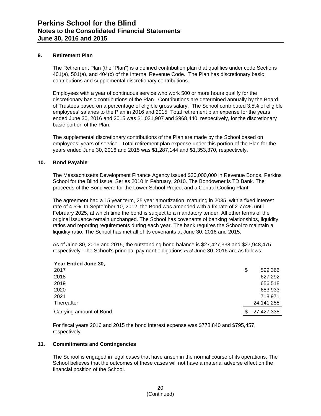#### **9. Retirement Plan**

The Retirement Plan (the "Plan") is a defined contribution plan that qualifies under code Sections 401(a), 501(a), and 404(c) of the Internal Revenue Code. The Plan has discretionary basic contributions and supplemental discretionary contributions.

Employees with a year of continuous service who work 500 or more hours qualify for the discretionary basic contributions of the Plan. Contributions are determined annually by the Board of Trustees based on a percentage of eligible gross salary. The School contributed 3.5% of eligible employees' salaries to the Plan in 2016 and 2015. Total retirement plan expense for the years ended June 30, 2016 and 2015 was \$1,031,907 and \$968,440, respectively, for the discretionary basic portion of the Plan.

The supplemental discretionary contributions of the Plan are made by the School based on employees' years of service. Total retirement plan expense under this portion of the Plan for the years ended June 30, 2016 and 2015 was \$1,287,144 and \$1,353,370, respectively.

#### **10. Bond Payable**

The Massachusetts Development Finance Agency issued \$30,000,000 in Revenue Bonds, Perkins School for the Blind Issue, Series 2010 in February, 2010. The Bondowner is TD Bank. The proceeds of the Bond were for the Lower School Project and a Central Cooling Plant.

The agreement had a 15 year term, 25 year amortization, maturing in 2035, with a fixed interest rate of 4.5%. In September 10, 2012, the Bond was amended with a fix rate of 2.774% until February 2025, at which time the bond is subject to a mandatory tender. All other terms of the original issuance remain unchanged. The School has covenants of banking relationships, liquidity ratios and reporting requirements during each year. The bank requires the School to maintain a liquidity ratio. The School has met all of its covenants at June 30, 2016 and 2015.

As of June 30, 2016 and 2015, the outstanding bond balance is \$27,427,338 and \$27,948,475, respectively. The School's principal payment obligations as of June 30, 2016 are as follows:

| Year Ended June 30,     |               |
|-------------------------|---------------|
| 2017                    | \$<br>599,366 |
| 2018                    | 627,292       |
| 2019                    | 656,518       |
| 2020                    | 683,933       |
| 2021                    | 718.971       |
| Thereafter              | 24,141,258    |
| Carrying amount of Bond | 27,427,338    |

For fiscal years 2016 and 2015 the bond interest expense was \$778,840 and \$795,457, respectively.

#### **11. Commitments and Contingencies**

**Year Ended June 30,**

The School is engaged in legal cases that have arisen in the normal course of its operations. The School believes that the outcomes of these cases will not have a material adverse effect on the financial position of the School.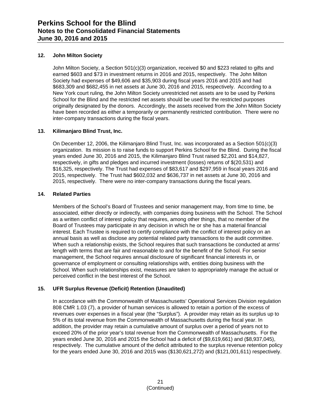#### **12. John Milton Society**

John Milton Society, a Section 501(c)(3) organization, received \$0 and \$223 related to gifts and earned \$603 and \$73 in investment returns in 2016 and 2015, respectively. The John Milton Society had expenses of \$49,606 and \$35,903 during fiscal years 2016 and 2015 and had \$683,309 and \$682,455 in net assets at June 30, 2016 and 2015, respectively. According to a New York court ruling, the John Milton Society unrestricted net assets are to be used by Perkins School for the Blind and the restricted net assets should be used for the restricted purposes originally designated by the donors. Accordingly, the assets received from the John Milton Society have been recorded as either a temporarily or permanently restricted contribution. There were no inter-company transactions during the fiscal years.

#### **13. Kilimanjaro Blind Trust, Inc.**

On December 12, 2006, the Kilimanjaro Blind Trust, Inc. was incorporated as a Section 501(c)(3) organization. Its mission is to raise funds to support Perkins School for the Blind. During the fiscal years ended June 30, 2016 and 2015, the Kilimanjaro Blind Trust raised \$2,201 and \$14,827, respectively, in gifts and pledges and incurred investment (losses) returns of \$(20,531) and \$16,325, respectively. The Trust had expenses of \$83,617 and \$297,959 in fiscal years 2016 and 2015, respectively. The Trust had \$602,032 and \$636,737 in net assets at June 30, 2016 and 2015, respectively. There were no inter-company transactions during the fiscal years.

#### **14. Related Parties**

Members of the School's Board of Trustees and senior management may, from time to time, be associated, either directly or indirectly, with companies doing business with the School. The School as a written conflict of interest policy that requires, among other things, that no member of the Board of Trustees may participate in any decision in which he or she has a material financial interest. Each Trustee is required to certify compliance with the conflict of interest policy on an annual basis as well as disclose any potential related party transactions to the audit committee. When such a relationship exists, the School requires that such transactions be conducted at arms' length with terms that are fair and reasonable to and for the benefit of the School. For senior management, the School requires annual disclosure of significant financial interests in, or governance of employment or consulting relationships with, entities doing business with the School. When such relationships exist, measures are taken to appropriately manage the actual or perceived conflict in the best interest of the School.

#### **15. UFR Surplus Revenue (Deficit) Retention (Unaudited)**

In accordance with the Commonwealth of Massachusetts' Operational Services Division regulation 808 CMR 1.03 (7), a provider of human services is allowed to retain a portion of the excess of revenues over expenses in a fiscal year (the "Surplus"). A provider may retain as its surplus up to 5% of its total revenue from the Commonwealth of Massachusetts during the fiscal year. In addition, the provider may retain a cumulative amount of surplus over a period of years not to exceed 20% of the prior year's total revenue from the Commonwealth of Massachusetts. For the years ended June 30, 2016 and 2015 the School had a deficit of (\$9,619,661) and (\$8,937,045), respectively. The cumulative amount of the deficit attributed to the surplus revenue retention policy for the years ended June 30, 2016 and 2015 was (\$130,621,272) and (\$121,001,611) respectively.